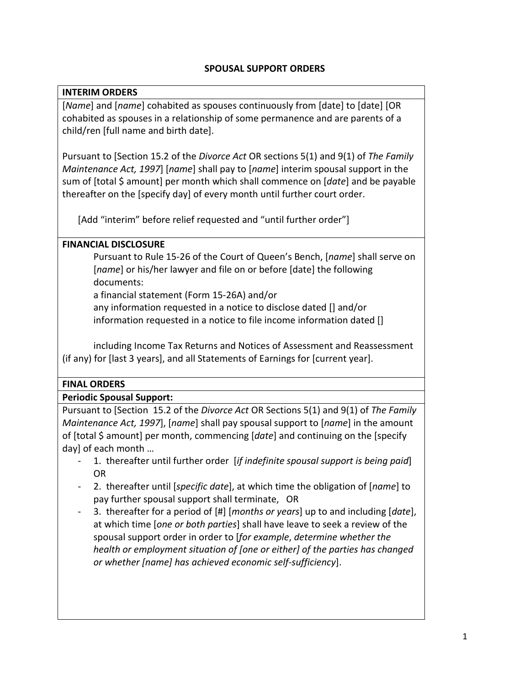# **SPOUSAL SUPPORT ORDERS**

# **INTERIM ORDERS**

[*Name*] and [*name*] cohabited as spouses continuously from [date] to [date] [OR cohabited as spouses in a relationship of some permanence and are parents of a child/ren [full name and birth date].

Pursuant to [Section 15.2 of the *Divorce Act* OR sections 5(1) and 9(1) of *The Family Maintenance Act, 1997*] [*name*] shall pay to [*name*] interim spousal support in the sum of [total \$ amount] per month which shall commence on [*date*] and be payable thereafter on the [specify day] of every month until further court order.

[Add "interim" before relief requested and "until further order"]

## **FINANCIAL DISCLOSURE**

Pursuant to Rule 15-26 of the Court of Queen's Bench, [*name*] shall serve on [*name*] or his/her lawyer and file on or before [date] the following documents:

a financial statement (Form 15-26A) and/or

any information requested in a notice to disclose dated [] and/or information requested in a notice to file income information dated []

including Income Tax Returns and Notices of Assessment and Reassessment (if any) for [last 3 years], and all Statements of Earnings for [current year].

## **FINAL ORDERS**

## **Periodic Spousal Support:**

Pursuant to [Section 15.2 of the *Divorce Act* OR Sections 5(1) and 9(1) of *The Family Maintenance Act, 1997*], [*name*] shall pay spousal support to [*name*] in the amount of [total \$ amount] per month, commencing [*date*] and continuing on the [specify day] of each month …

- 1. thereafter until further order [*if indefinite spousal support is being paid*] OR
- 2. thereafter until [*specific date*], at which time the obligation of [*name*] to pay further spousal support shall terminate, OR
- 3. thereafter for a period of [#] [*months or years*] up to and including [*date*], at which time [*one or both parties*] shall have leave to seek a review of the spousal support order in order to [*for example*, *determine whether the health or employment situation of [one or either] of the parties has changed or whether [name] has achieved economic self-sufficiency*].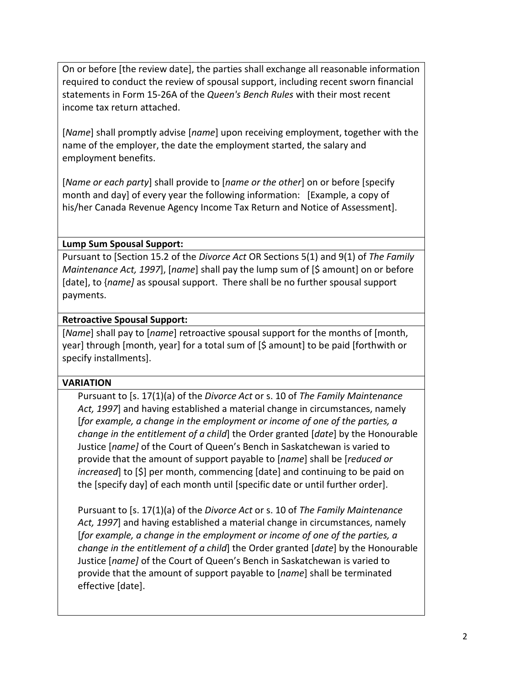On or before [the review date], the parties shall exchange all reasonable information required to conduct the review of spousal support, including recent sworn financial statements in Form 15-26A of the *Queen's Bench Rules* with their most recent income tax return attached.

[*Name*] shall promptly advise [*name*] upon receiving employment, together with the name of the employer, the date the employment started, the salary and employment benefits.

[*Name or each party*] shall provide to [*name or the other*] on or before [specify month and day] of every year the following information: [Example, a copy of his/her Canada Revenue Agency Income Tax Return and Notice of Assessment].

## **Lump Sum Spousal Support:**

Pursuant to [Section 15.2 of the *Divorce Act* OR Sections 5(1) and 9(1) of *The Family Maintenance Act, 1997*], [*name*] shall pay the lump sum of [\$ amount] on or before [date], to {*name]* as spousal support. There shall be no further spousal support payments.

#### **Retroactive Spousal Support:**

[*Name*] shall pay to [*name*] retroactive spousal support for the months of [month, year] through [month, year] for a total sum of [\$ amount] to be paid [forthwith or specify installments].

#### **VARIATION**

Pursuant to [s. 17(1)(a) of the *Divorce Act* or s. 10 of *The Family Maintenance Act, 1997*] and having established a material change in circumstances, namely [*for example, a change in the employment or income of one of the parties, a change in the entitlement of a child*] the Order granted [*date*] by the Honourable Justice [*name]* of the Court of Queen's Bench in Saskatchewan is varied to provide that the amount of support payable to [*name*] shall be [*reduced or increased*] to [\$] per month, commencing [date] and continuing to be paid on the [specify day] of each month until [specific date or until further order].

Pursuant to [s. 17(1)(a) of the *Divorce Act* or s. 10 of *The Family Maintenance Act, 1997*] and having established a material change in circumstances, namely [*for example, a change in the employment or income of one of the parties, a change in the entitlement of a child*] the Order granted [*date*] by the Honourable Justice [*name]* of the Court of Queen's Bench in Saskatchewan is varied to provide that the amount of support payable to [*name*] shall be terminated effective [date].